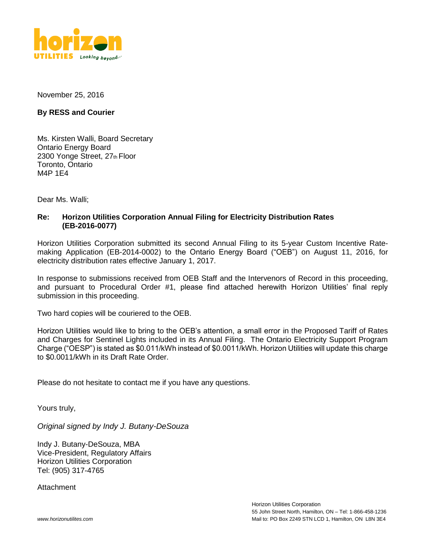

November 25, 2016

#### **By RESS and Courier**

Ms. Kirsten Walli, Board Secretary Ontario Energy Board 2300 Yonge Street, 27th Floor Toronto, Ontario M4P 1E4

Dear Ms. Walli;

#### **Re: Horizon Utilities Corporation Annual Filing for Electricity Distribution Rates (EB-2016-0077)**

Horizon Utilities Corporation submitted its second Annual Filing to its 5-year Custom Incentive Ratemaking Application (EB-2014-0002) to the Ontario Energy Board ("OEB") on August 11, 2016, for electricity distribution rates effective January 1, 2017.

In response to submissions received from OEB Staff and the Intervenors of Record in this proceeding, and pursuant to Procedural Order #1, please find attached herewith Horizon Utilities' final reply submission in this proceeding.

Two hard copies will be couriered to the OEB.

Horizon Utilities would like to bring to the OEB's attention, a small error in the Proposed Tariff of Rates and Charges for Sentinel Lights included in its Annual Filing. The Ontario Electricity Support Program Charge ("OESP") is stated as \$0.011/kWh instead of \$0.0011/kWh. Horizon Utilities will update this charge to \$0.0011/kWh in its Draft Rate Order.

Please do not hesitate to contact me if you have any questions.

Yours truly,

*Original signed by Indy J. Butany-DeSouza*

Indy J. Butany-DeSouza, MBA Vice-President, Regulatory Affairs Horizon Utilities Corporation Tel: (905) 317-4765

Attachment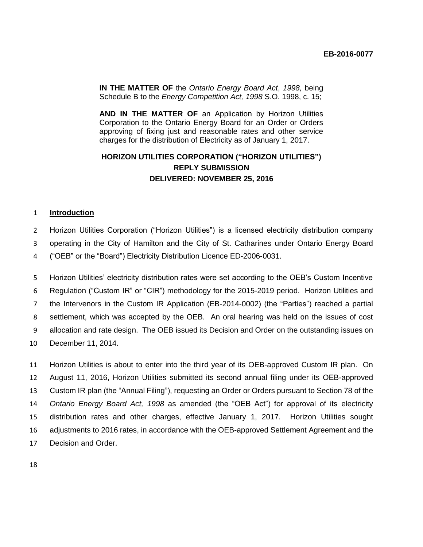**IN THE MATTER OF** the *Ontario Energy Board Act*, *1998,* being Schedule B to the *Energy Competition Act, 1998* S.O. 1998, c. 15;

**AND IN THE MATTER OF** an Application by Horizon Utilities Corporation to the Ontario Energy Board for an Order or Orders approving of fixing just and reasonable rates and other service charges for the distribution of Electricity as of January 1, 2017.

## **HORIZON UTILITIES CORPORATION ("HORIZON UTILITIES") REPLY SUBMISSION DELIVERED: NOVEMBER 25, 2016**

#### **Introduction**

 Horizon Utilities Corporation ("Horizon Utilities") is a licensed electricity distribution company operating in the City of Hamilton and the City of St. Catharines under Ontario Energy Board

("OEB" or the "Board") Electricity Distribution Licence ED-2006-0031.

 Horizon Utilities' electricity distribution rates were set according to the OEB's Custom Incentive Regulation ("Custom IR" or "CIR") methodology for the 2015-2019 period. Horizon Utilities and the Intervenors in the Custom IR Application (EB-2014-0002) (the "Parties") reached a partial settlement, which was accepted by the OEB. An oral hearing was held on the issues of cost allocation and rate design. The OEB issued its Decision and Order on the outstanding issues on December 11, 2014.

 Horizon Utilities is about to enter into the third year of its OEB-approved Custom IR plan. On August 11, 2016, Horizon Utilities submitted its second annual filing under its OEB-approved Custom IR plan (the "Annual Filing"), requesting an Order or Orders pursuant to Section 78 of the *Ontario Energy Board Act, 1998* as amended (the "OEB Act") for approval of its electricity distribution rates and other charges, effective January 1, 2017. Horizon Utilities sought adjustments to 2016 rates, in accordance with the OEB-approved Settlement Agreement and the Decision and Order.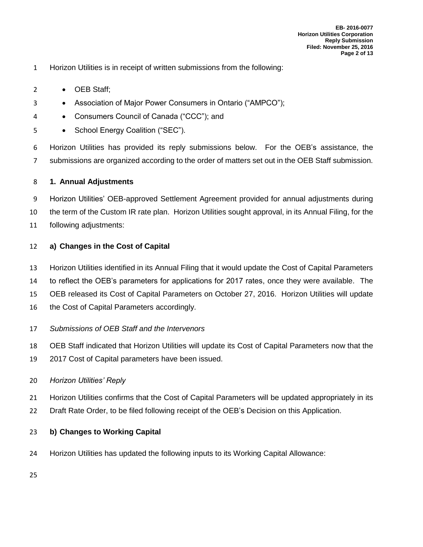- Horizon Utilities is in receipt of written submissions from the following:
- 2 OEB Staff;
- 3 Association of Major Power Consumers in Ontario ("AMPCO");
- Consumers Council of Canada ("CCC"); and
- 5 School Energy Coalition ("SEC").

 Horizon Utilities has provided its reply submissions below. For the OEB's assistance, the submissions are organized according to the order of matters set out in the OEB Staff submission.

#### **1. Annual Adjustments**

 Horizon Utilities' OEB-approved Settlement Agreement provided for annual adjustments during the term of the Custom IR rate plan. Horizon Utilities sought approval, in its Annual Filing, for the following adjustments:

#### **a) Changes in the Cost of Capital**

- Horizon Utilities identified in its Annual Filing that it would update the Cost of Capital Parameters
- to reflect the OEB's parameters for applications for 2017 rates, once they were available. The
- OEB released its Cost of Capital Parameters on October 27, 2016. Horizon Utilities will update
- 16 the Cost of Capital Parameters accordingly.
- *Submissions of OEB Staff and the Intervenors*
- OEB Staff indicated that Horizon Utilities will update its Cost of Capital Parameters now that the
- 2017 Cost of Capital parameters have been issued.
- *Horizon Utilities' Reply*
- Horizon Utilities confirms that the Cost of Capital Parameters will be updated appropriately in its
- Draft Rate Order, to be filed following receipt of the OEB's Decision on this Application.

#### **b) Changes to Working Capital**

- Horizon Utilities has updated the following inputs to its Working Capital Allowance:
-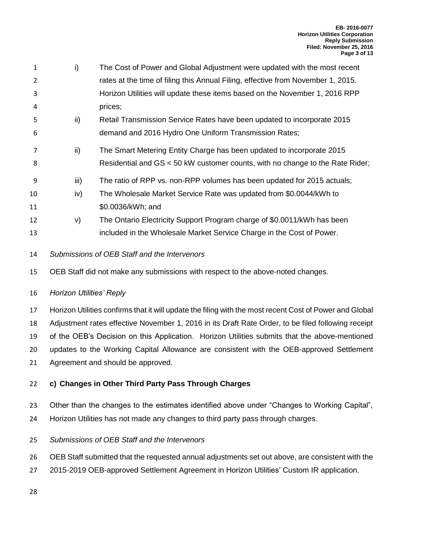- i) The Cost of Power and Global Adjustment were updated with the most recent rates at the time of filing this Annual Filing, effective from November 1, 2015. Horizon Utilities will update these items based on the November 1, 2016 RPP prices;
- ii) Retail Transmission Service Rates have been updated to incorporate 2015 demand and 2016 Hydro One Uniform Transmission Rates;
- ii) The Smart Metering Entity Charge has been updated to incorporate 2015 Residential and GS < 50 kW customer counts, with no change to the Rate Rider;
- 9 iii) The ratio of RPP vs. non-RPP volumes has been updated for 2015 actuals:
- iv) The Wholesale Market Service Rate was updated from \$0.0044/kWh to \$0.0036/kWh; and
- v) The Ontario Electricity Support Program charge of \$0.0011/kWh has been included in the Wholesale Market Service Charge in the Cost of Power.
- *Submissions of OEB Staff and the Intervenors*
- OEB Staff did not make any submissions with respect to the above-noted changes.
- *Horizon Utilities' Reply*
- Horizon Utilities confirms that it will update the filing with the most recent Cost of Power and Global

Adjustment rates effective November 1, 2016 in its Draft Rate Order, to be filed following receipt

of the OEB's Decision on this Application. Horizon Utilities submits that the above-mentioned

- updates to the Working Capital Allowance are consistent with the OEB-approved Settlement
- Agreement and should be approved.

# **c) Changes in Other Third Party Pass Through Charges**

- Other than the changes to the estimates identified above under "Changes to Working Capital",
- Horizon Utilities has not made any changes to third party pass through charges.

# *Submissions of OEB Staff and the Intervenors*

- OEB Staff submitted that the requested annual adjustments set out above, are consistent with the
- 2015-2019 OEB-approved Settlement Agreement in Horizon Utilities' Custom IR application.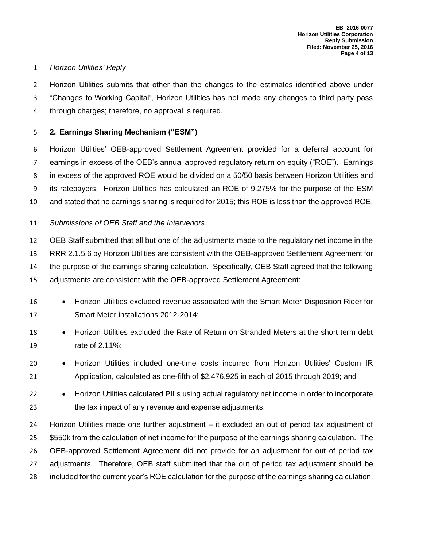### *Horizon Utilities' Reply*

 Horizon Utilities submits that other than the changes to the estimates identified above under "Changes to Working Capital", Horizon Utilities has not made any changes to third party pass through charges; therefore, no approval is required.

## **2. Earnings Sharing Mechanism ("ESM")**

 Horizon Utilities' OEB-approved Settlement Agreement provided for a deferral account for earnings in excess of the OEB's annual approved regulatory return on equity ("ROE"). Earnings in excess of the approved ROE would be divided on a 50/50 basis between Horizon Utilities and its ratepayers. Horizon Utilities has calculated an ROE of 9.275% for the purpose of the ESM and stated that no earnings sharing is required for 2015; this ROE is less than the approved ROE.

## *Submissions of OEB Staff and the Intervenors*

 OEB Staff submitted that all but one of the adjustments made to the regulatory net income in the RRR 2.1.5.6 by Horizon Utilities are consistent with the OEB-approved Settlement Agreement for the purpose of the earnings sharing calculation. Specifically, OEB Staff agreed that the following adjustments are consistent with the OEB-approved Settlement Agreement:

- 16 Horizon Utilities excluded revenue associated with the Smart Meter Disposition Rider for Smart Meter installations 2012-2014;
- 18 Horizon Utilities excluded the Rate of Return on Stranded Meters at the short term debt rate of 2.11%;
- 20 Horizon Utilities included one-time costs incurred from Horizon Utilities' Custom IR Application, calculated as one-fifth of \$2,476,925 in each of 2015 through 2019; and
- 22 Horizon Utilities calculated PILs using actual regulatory net income in order to incorporate the tax impact of any revenue and expense adjustments.

 Horizon Utilities made one further adjustment – it excluded an out of period tax adjustment of \$550k from the calculation of net income for the purpose of the earnings sharing calculation. The OEB-approved Settlement Agreement did not provide for an adjustment for out of period tax 27 adjustments. Therefore, OEB staff submitted that the out of period tax adjustment should be included for the current year's ROE calculation for the purpose of the earnings sharing calculation.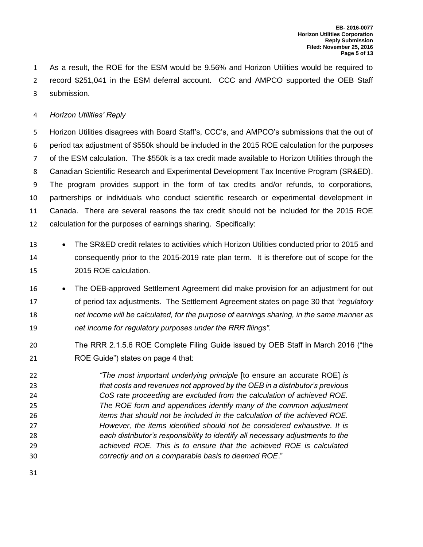As a result, the ROE for the ESM would be 9.56% and Horizon Utilities would be required to record \$251,041 in the ESM deferral account. CCC and AMPCO supported the OEB Staff submission.

#### *Horizon Utilities' Reply*

 Horizon Utilities disagrees with Board Staff's, CCC's, and AMPCO's submissions that the out of period tax adjustment of \$550k should be included in the 2015 ROE calculation for the purposes of the ESM calculation. The \$550k is a tax credit made available to Horizon Utilities through the Canadian Scientific Research and Experimental Development Tax Incentive Program (SR&ED). The program provides support in the form of tax credits and/or refunds, to corporations, partnerships or individuals who conduct scientific research or experimental development in Canada. There are several reasons the tax credit should not be included for the 2015 ROE calculation for the purposes of earnings sharing. Specifically:

- 13 The SR&ED credit relates to activities which Horizon Utilities conducted prior to 2015 and consequently prior to the 2015-2019 rate plan term. It is therefore out of scope for the 2015 ROE calculation.
- 16 The OEB-approved Settlement Agreement did make provision for an adjustment for out of period tax adjustments. The Settlement Agreement states on page 30 that *"regulatory net income will be calculated, for the purpose of earnings sharing, in the same manner as net income for regulatory purposes under the RRR filings"*.
- The RRR 2.1.5.6 ROE Complete Filing Guide issued by OEB Staff in March 2016 ("the ROE Guide") states on page 4 that:
- *"The most important underlying principle* [to ensure an accurate ROE] *is that costs and revenues not approved by the OEB in a distributor's previous CoS rate proceeding are excluded from the calculation of achieved ROE. The ROE form and appendices identify many of the common adjustment items that should not be included in the calculation of the achieved ROE. However, the items identified should not be considered exhaustive. It is each distributor's responsibility to identify all necessary adjustments to the achieved ROE. This is to ensure that the achieved ROE is calculated correctly and on a comparable basis to deemed ROE*."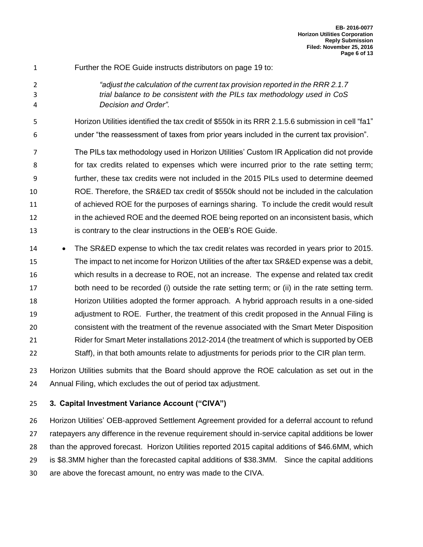- Further the ROE Guide instructs distributors on page 19 to:
- *"adjust the calculation of the current tax provision reported in the RRR 2.1.7 trial balance to be consistent with the PILs tax methodology used in CoS Decision and Order"*.

Horizon Utilities identified the tax credit of \$550k in its RRR 2.1.5.6 submission in cell "fa1"

under "the reassessment of taxes from prior years included in the current tax provision".

 The PILs tax methodology used in Horizon Utilities' Custom IR Application did not provide for tax credits related to expenses which were incurred prior to the rate setting term; further, these tax credits were not included in the 2015 PILs used to determine deemed ROE. Therefore, the SR&ED tax credit of \$550k should not be included in the calculation 11 of achieved ROE for the purposes of earnings sharing. To include the credit would result in the achieved ROE and the deemed ROE being reported on an inconsistent basis, which is contrary to the clear instructions in the OEB's ROE Guide.

14 • The SR&ED expense to which the tax credit relates was recorded in years prior to 2015. The impact to net income for Horizon Utilities of the after tax SR&ED expense was a debit, which results in a decrease to ROE, not an increase. The expense and related tax credit both need to be recorded (i) outside the rate setting term; or (ii) in the rate setting term. Horizon Utilities adopted the former approach. A hybrid approach results in a one-sided adjustment to ROE. Further, the treatment of this credit proposed in the Annual Filing is consistent with the treatment of the revenue associated with the Smart Meter Disposition Rider for Smart Meter installations 2012-2014 (the treatment of which is supported by OEB Staff), in that both amounts relate to adjustments for periods prior to the CIR plan term.

 Horizon Utilities submits that the Board should approve the ROE calculation as set out in the Annual Filing, which excludes the out of period tax adjustment.

## **3. Capital Investment Variance Account ("CIVA")**

 Horizon Utilities' OEB-approved Settlement Agreement provided for a deferral account to refund ratepayers any difference in the revenue requirement should in-service capital additions be lower than the approved forecast. Horizon Utilities reported 2015 capital additions of \$46.6MM, which is \$8.3MM higher than the forecasted capital additions of \$38.3MM. Since the capital additions are above the forecast amount, no entry was made to the CIVA.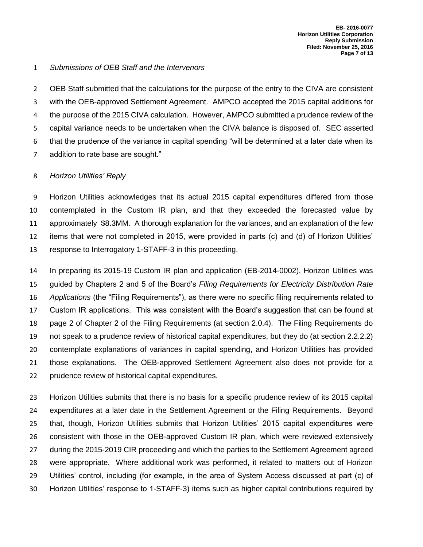#### *Submissions of OEB Staff and the Intervenors*

 OEB Staff submitted that the calculations for the purpose of the entry to the CIVA are consistent with the OEB-approved Settlement Agreement. AMPCO accepted the 2015 capital additions for the purpose of the 2015 CIVA calculation. However, AMPCO submitted a prudence review of the capital variance needs to be undertaken when the CIVA balance is disposed of. SEC asserted that the prudence of the variance in capital spending "will be determined at a later date when its addition to rate base are sought."

#### *Horizon Utilities' Reply*

 Horizon Utilities acknowledges that its actual 2015 capital expenditures differed from those contemplated in the Custom IR plan, and that they exceeded the forecasted value by approximately \$8.3MM. A thorough explanation for the variances, and an explanation of the few items that were not completed in 2015, were provided in parts (c) and (d) of Horizon Utilities' response to Interrogatory 1-STAFF-3 in this proceeding.

 In preparing its 2015-19 Custom IR plan and application (EB-2014-0002), Horizon Utilities was guided by Chapters 2 and 5 of the Board's *Filing Requirements for Electricity Distribution Rate Applications* (the "Filing Requirements"), as there were no specific filing requirements related to Custom IR applications. This was consistent with the Board's suggestion that can be found at page 2 of Chapter 2 of the Filing Requirements (at section 2.0.4). The Filing Requirements do not speak to a prudence review of historical capital expenditures, but they do (at section 2.2.2.2) contemplate explanations of variances in capital spending, and Horizon Utilities has provided those explanations. The OEB-approved Settlement Agreement also does not provide for a prudence review of historical capital expenditures.

 Horizon Utilities submits that there is no basis for a specific prudence review of its 2015 capital expenditures at a later date in the Settlement Agreement or the Filing Requirements. Beyond that, though, Horizon Utilities submits that Horizon Utilities' 2015 capital expenditures were consistent with those in the OEB-approved Custom IR plan, which were reviewed extensively during the 2015-2019 CIR proceeding and which the parties to the Settlement Agreement agreed were appropriate. Where additional work was performed, it related to matters out of Horizon Utilities' control, including (for example, in the area of System Access discussed at part (c) of Horizon Utilities' response to 1-STAFF-3) items such as higher capital contributions required by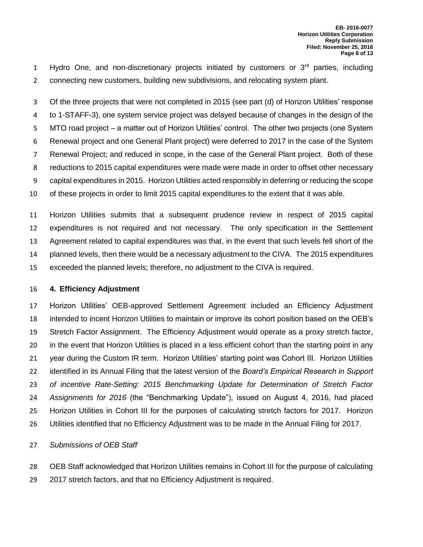1 Hydro One, and non-discretionary projects initiated by customers or  $3<sup>rd</sup>$  parties, including connecting new customers, building new subdivisions, and relocating system plant.

 Of the three projects that were not completed in 2015 (see part (d) of Horizon Utilities' response to 1-STAFF-3), one system service project was delayed because of changes in the design of the MTO road project – a matter out of Horizon Utilities' control. The other two projects (one System Renewal project and one General Plant project) were deferred to 2017 in the case of the System Renewal Project; and reduced in scope, in the case of the General Plant project. Both of these reductions to 2015 capital expenditures were made were made in order to offset other necessary capital expenditures in 2015. Horizon Utilities acted responsibly in deferring or reducing the scope of these projects in order to limit 2015 capital expenditures to the extent that it was able.

 Horizon Utilities submits that a subsequent prudence review in respect of 2015 capital expenditures is not required and not necessary. The only specification in the Settlement Agreement related to capital expenditures was that, in the event that such levels fell short of the planned levels, then there would be a necessary adjustment to the CIVA. The 2015 expenditures exceeded the planned levels; therefore, no adjustment to the CIVA is required.

#### **4. Efficiency Adjustment**

 Horizon Utilities' OEB-approved Settlement Agreement included an Efficiency Adjustment intended to incent Horizon Utilities to maintain or improve its cohort position based on the OEB's Stretch Factor Assignment. The Efficiency Adjustment would operate as a proxy stretch factor, in the event that Horizon Utilities is placed in a less efficient cohort than the starting point in any year during the Custom IR term. Horizon Utilities' starting point was Cohort III. Horizon Utilities identified in its Annual Filing that the latest version of the *Board's Empirical Research in Support of incentive Rate-Setting: 2015 Benchmarking Update for Determination of Stretch Factor Assignments for 2016* (the "Benchmarking Update"), issued on August 4, 2016, had placed Horizon Utilities in Cohort III for the purposes of calculating stretch factors for 2017. Horizon Utilities identified that no Efficiency Adjustment was to be made in the Annual Filing for 2017.

#### *Submissions of OEB Staff*

 OEB Staff acknowledged that Horizon Utilities remains in Cohort III for the purpose of calculating 2017 stretch factors, and that no Efficiency Adjustment is required.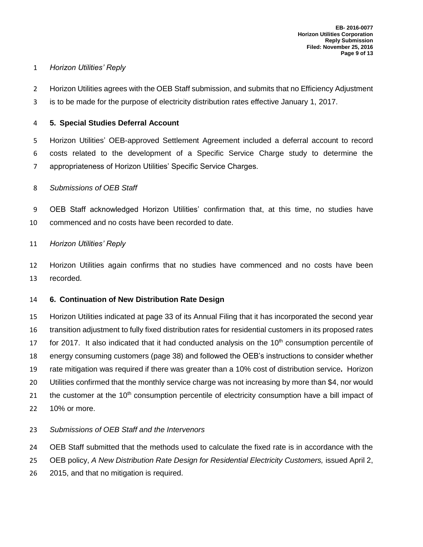### *Horizon Utilities' Reply*

 Horizon Utilities agrees with the OEB Staff submission, and submits that no Efficiency Adjustment is to be made for the purpose of electricity distribution rates effective January 1, 2017.

### **5. Special Studies Deferral Account**

 Horizon Utilities' OEB-approved Settlement Agreement included a deferral account to record costs related to the development of a Specific Service Charge study to determine the appropriateness of Horizon Utilities' Specific Service Charges.

### *Submissions of OEB Staff*

 OEB Staff acknowledged Horizon Utilities' confirmation that, at this time, no studies have commenced and no costs have been recorded to date.

### *Horizon Utilities' Reply*

 Horizon Utilities again confirms that no studies have commenced and no costs have been recorded.

## **6. Continuation of New Distribution Rate Design**

 Horizon Utilities indicated at page 33 of its Annual Filing that it has incorporated the second year transition adjustment to fully fixed distribution rates for residential customers in its proposed rates 17 for 2017. It also indicated that it had conducted analysis on the  $10<sup>th</sup>$  consumption percentile of energy consuming customers (page 38) and followed the OEB's instructions to consider whether rate mitigation was required if there was greater than a 10% cost of distribution service**.** Horizon Utilities confirmed that the monthly service charge was not increasing by more than \$4, nor would 21 the customer at the  $10<sup>th</sup>$  consumption percentile of electricity consumption have a bill impact of 10% or more.

## *Submissions of OEB Staff and the Intervenors*

OEB Staff submitted that the methods used to calculate the fixed rate is in accordance with the

- OEB policy, *A New Distribution Rate Design for Residential Electricity Customers,* issued April 2,
- 2015, and that no mitigation is required.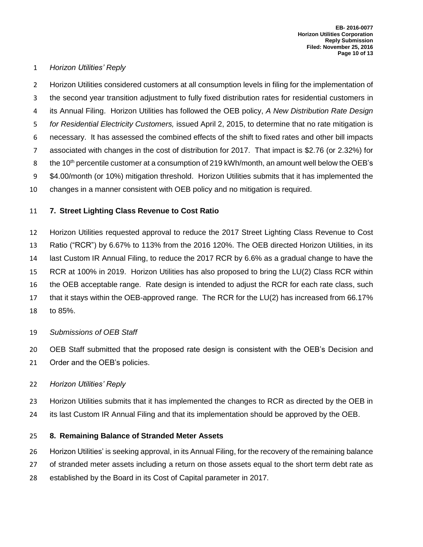#### *Horizon Utilities' Reply*

 Horizon Utilities considered customers at all consumption levels in filing for the implementation of the second year transition adjustment to fully fixed distribution rates for residential customers in its Annual Filing. Horizon Utilities has followed the OEB policy, *A New Distribution Rate Design for Residential Electricity Customers,* issued April 2, 2015, to determine that no rate mitigation is necessary. It has assessed the combined effects of the shift to fixed rates and other bill impacts associated with changes in the cost of distribution for 2017. That impact is \$2.76 (or 2.32%) for 8 the 10<sup>th</sup> percentile customer at a consumption of 219 kWh/month, an amount well below the OEB's \$4.00/month (or 10%) mitigation threshold. Horizon Utilities submits that it has implemented the changes in a manner consistent with OEB policy and no mitigation is required.

### **7. Street Lighting Class Revenue to Cost Ratio**

 Horizon Utilities requested approval to reduce the 2017 Street Lighting Class Revenue to Cost Ratio ("RCR") by 6.67% to 113% from the 2016 120%. The OEB directed Horizon Utilities, in its last Custom IR Annual Filing, to reduce the 2017 RCR by 6.6% as a gradual change to have the RCR at 100% in 2019. Horizon Utilities has also proposed to bring the LU(2) Class RCR within the OEB acceptable range. Rate design is intended to adjust the RCR for each rate class, such that it stays within the OEB-approved range. The RCR for the LU(2) has increased from 66.17% to 85%.

- *Submissions of OEB Staff*
- OEB Staff submitted that the proposed rate design is consistent with the OEB's Decision and Order and the OEB's policies.

#### *Horizon Utilities' Reply*

- Horizon Utilities submits that it has implemented the changes to RCR as directed by the OEB in
- its last Custom IR Annual Filing and that its implementation should be approved by the OEB.

#### **8. Remaining Balance of Stranded Meter Assets**

- Horizon Utilities' is seeking approval, in its Annual Filing, for the recovery of the remaining balance
- of stranded meter assets including a return on those assets equal to the short term debt rate as
- established by the Board in its Cost of Capital parameter in 2017.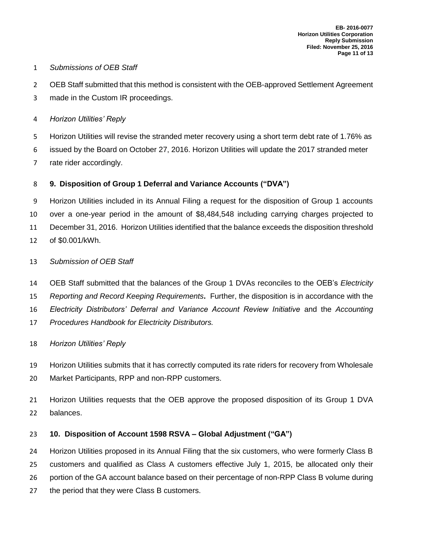### *Submissions of OEB Staff*

- OEB Staff submitted that this method is consistent with the OEB-approved Settlement Agreement
- made in the Custom IR proceedings.
- *Horizon Utilities' Reply*

 Horizon Utilities will revise the stranded meter recovery using a short term debt rate of 1.76% as issued by the Board on October 27, 2016. Horizon Utilities will update the 2017 stranded meter

rate rider accordingly.

# **9. Disposition of Group 1 Deferral and Variance Accounts ("DVA")**

 Horizon Utilities included in its Annual Filing a request for the disposition of Group 1 accounts over a one-year period in the amount of \$8,484,548 including carrying charges projected to December 31, 2016. Horizon Utilities identified that the balance exceeds the disposition threshold of \$0.001/kWh.

## *Submission of OEB Staff*

 OEB Staff submitted that the balances of the Group 1 DVAs reconciles to the OEB's *Electricity Reporting and Record Keeping Requirements***.** Further, the disposition is in accordance with the *Electricity Distributors' Deferral and Variance Account Review Initiative* and the *Accounting Procedures Handbook for Electricity Distributors.*

*Horizon Utilities' Reply*

 Horizon Utilities submits that it has correctly computed its rate riders for recovery from Wholesale Market Participants, RPP and non-RPP customers.

 Horizon Utilities requests that the OEB approve the proposed disposition of its Group 1 DVA balances.

# **10. Disposition of Account 1598 RSVA – Global Adjustment ("GA")**

Horizon Utilities proposed in its Annual Filing that the six customers, who were formerly Class B

customers and qualified as Class A customers effective July 1, 2015, be allocated only their

- portion of the GA account balance based on their percentage of non-RPP Class B volume during
- the period that they were Class B customers.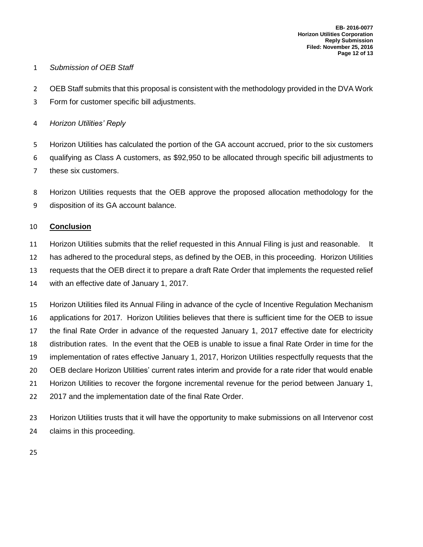### *Submission of OEB Staff*

- 2 OEB Staff submits that this proposal is consistent with the methodology provided in the DVA Work
- Form for customer specific bill adjustments.
- *Horizon Utilities' Reply*

 Horizon Utilities has calculated the portion of the GA account accrued, prior to the six customers qualifying as Class A customers, as \$92,950 to be allocated through specific bill adjustments to these six customers.

 Horizon Utilities requests that the OEB approve the proposed allocation methodology for the disposition of its GA account balance.

## **Conclusion**

- Horizon Utilities submits that the relief requested in this Annual Filing is just and reasonable. It
- has adhered to the procedural steps, as defined by the OEB, in this proceeding. Horizon Utilities
- requests that the OEB direct it to prepare a draft Rate Order that implements the requested relief

with an effective date of January 1, 2017.

 Horizon Utilities filed its Annual Filing in advance of the cycle of Incentive Regulation Mechanism applications for 2017. Horizon Utilities believes that there is sufficient time for the OEB to issue the final Rate Order in advance of the requested January 1, 2017 effective date for electricity distribution rates. In the event that the OEB is unable to issue a final Rate Order in time for the implementation of rates effective January 1, 2017, Horizon Utilities respectfully requests that the OEB declare Horizon Utilities' current rates interim and provide for a rate rider that would enable Horizon Utilities to recover the forgone incremental revenue for the period between January 1, 2017 and the implementation date of the final Rate Order.

 Horizon Utilities trusts that it will have the opportunity to make submissions on all Intervenor cost claims in this proceeding.